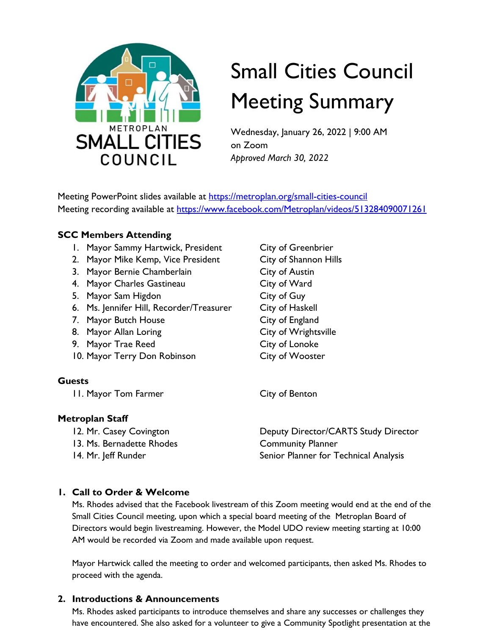

# Small Cities Council Meeting Summary

Wednesday, January 26, 2022 | 9:00 AM on Zoom *Approved March 30, 2022*

Meeting PowerPoint slides available at [https://metroplan.org/small-cities-council](https://metroplan.org/small-cities-council/) Meeting recording available at<https://www.facebook.com/Metroplan/videos/513284090071261>

# **SCC Members Attending**

- 1. Mayor Sammy Hartwick, President City of Greenbrier
- 2. Mayor Mike Kemp, Vice President City of Shannon Hills
- 3. Mayor Bernie Chamberlain City of Austin
- 4. Mayor Charles Gastineau City of Ward
- 5. Mayor Sam Higdon City of Guy
- 6. Ms. Jennifer Hill, Recorder/Treasurer City of Haskell
- 7. Mayor Butch House City of England
- 8. Mayor Allan Loring City of Wrightsville
- 9. Mayor Trae Reed City of Lonoke
- 10. Mayor Terry Don Robinson City of Wooster

# **Guests**

11. Mayor Tom Farmer City of Benton

## **Metroplan Staff**

- 
- 

12. Mr. Casey Covington **Deputy Director/CARTS Study Director** 13. Ms. Bernadette Rhodes Community Planner 14. Mr. Jeff Runder **Senior Planner for Technical Analysis** Senior Planner for Technical Analysis

# **1. Call to Order & Welcome**

Ms. Rhodes advised that the Facebook livestream of this Zoom meeting would end at the end of the Small Cities Council meeting, upon which a special board meeting of the Metroplan Board of Directors would begin livestreaming. However, the Model UDO review meeting starting at 10:00 AM would be recorded via Zoom and made available upon request.

Mayor Hartwick called the meeting to order and welcomed participants, then asked Ms. Rhodes to proceed with the agenda.

# **2. Introductions & Announcements**

Ms. Rhodes asked participants to introduce themselves and share any successes or challenges they have encountered. She also asked for a volunteer to give a Community Spotlight presentation at the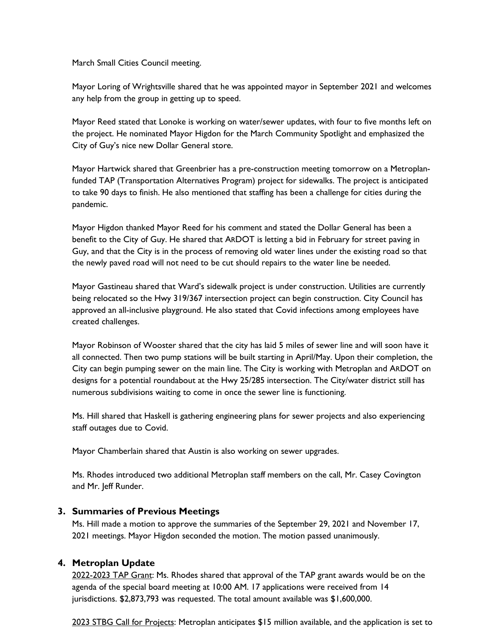March Small Cities Council meeting.

Mayor Loring of Wrightsville shared that he was appointed mayor in September 2021 and welcomes any help from the group in getting up to speed.

Mayor Reed stated that Lonoke is working on water/sewer updates, with four to five months left on the project. He nominated Mayor Higdon for the March Community Spotlight and emphasized the City of Guy's nice new Dollar General store.

Mayor Hartwick shared that Greenbrier has a pre-construction meeting tomorrow on a Metroplanfunded TAP (Transportation Alternatives Program) project for sidewalks. The project is anticipated to take 90 days to finish. He also mentioned that staffing has been a challenge for cities during the pandemic.

Mayor Higdon thanked Mayor Reed for his comment and stated the Dollar General has been a benefit to the City of Guy. He shared that ARDOT is letting a bid in February for street paving in Guy, and that the City is in the process of removing old water lines under the existing road so that the newly paved road will not need to be cut should repairs to the water line be needed.

Mayor Gastineau shared that Ward's sidewalk project is under construction. Utilities are currently being relocated so the Hwy 319/367 intersection project can begin construction. City Council has approved an all-inclusive playground. He also stated that Covid infections among employees have created challenges.

Mayor Robinson of Wooster shared that the city has laid 5 miles of sewer line and will soon have it all connected. Then two pump stations will be built starting in April/May. Upon their completion, the City can begin pumping sewer on the main line. The City is working with Metroplan and ARDOT on designs for a potential roundabout at the Hwy 25/285 intersection. The City/water district still has numerous subdivisions waiting to come in once the sewer line is functioning.

Ms. Hill shared that Haskell is gathering engineering plans for sewer projects and also experiencing staff outages due to Covid.

Mayor Chamberlain shared that Austin is also working on sewer upgrades.

Ms. Rhodes introduced two additional Metroplan staff members on the call, Mr. Casey Covington and Mr. Jeff Runder.

#### **3. Summaries of Previous Meetings**

Ms. Hill made a motion to approve the summaries of the September 29, 2021 and November 17, 2021 meetings. Mayor Higdon seconded the motion. The motion passed unanimously.

#### **4. Metroplan Update**

2022-2023 TAP Grant: Ms. Rhodes shared that approval of the TAP grant awards would be on the agenda of the special board meeting at 10:00 AM. 17 applications were received from 14 jurisdictions. \$2,873,793 was requested. The total amount available was \$1,600,000.

2023 STBG Call for Projects: Metroplan anticipates \$15 million available, and the application is set to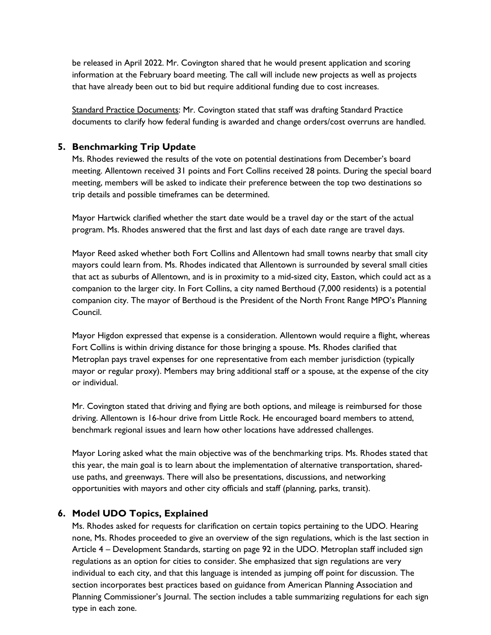be released in April 2022. Mr. Covington shared that he would present application and scoring information at the February board meeting. The call will include new projects as well as projects that have already been out to bid but require additional funding due to cost increases.

Standard Practice Documents: Mr. Covington stated that staff was drafting Standard Practice documents to clarify how federal funding is awarded and change orders/cost overruns are handled.

### **5. Benchmarking Trip Update**

Ms. Rhodes reviewed the results of the vote on potential destinations from December's board meeting. Allentown received 31 points and Fort Collins received 28 points. During the special board meeting, members will be asked to indicate their preference between the top two destinations so trip details and possible timeframes can be determined.

Mayor Hartwick clarified whether the start date would be a travel day or the start of the actual program. Ms. Rhodes answered that the first and last days of each date range are travel days.

Mayor Reed asked whether both Fort Collins and Allentown had small towns nearby that small city mayors could learn from. Ms. Rhodes indicated that Allentown is surrounded by several small cities that act as suburbs of Allentown, and is in proximity to a mid-sized city, Easton, which could act as a companion to the larger city. In Fort Collins, a city named Berthoud (7,000 residents) is a potential companion city. The mayor of Berthoud is the President of the North Front Range MPO's Planning Council.

Mayor Higdon expressed that expense is a consideration. Allentown would require a flight, whereas Fort Collins is within driving distance for those bringing a spouse. Ms. Rhodes clarified that Metroplan pays travel expenses for one representative from each member jurisdiction (typically mayor or regular proxy). Members may bring additional staff or a spouse, at the expense of the city or individual.

Mr. Covington stated that driving and flying are both options, and mileage is reimbursed for those driving. Allentown is 16-hour drive from Little Rock. He encouraged board members to attend, benchmark regional issues and learn how other locations have addressed challenges.

Mayor Loring asked what the main objective was of the benchmarking trips. Ms. Rhodes stated that this year, the main goal is to learn about the implementation of alternative transportation, shareduse paths, and greenways. There will also be presentations, discussions, and networking opportunities with mayors and other city officials and staff (planning, parks, transit).

#### **6. Model UDO Topics, Explained**

Ms. Rhodes asked for requests for clarification on certain topics pertaining to the UDO. Hearing none, Ms. Rhodes proceeded to give an overview of the sign regulations, which is the last section in Article 4 – Development Standards, starting on page 92 in the UDO. Metroplan staff included sign regulations as an option for cities to consider. She emphasized that sign regulations are very individual to each city, and that this language is intended as jumping off point for discussion. The section incorporates best practices based on guidance from American Planning Association and Planning Commissioner's Journal. The section includes a table summarizing regulations for each sign type in each zone.